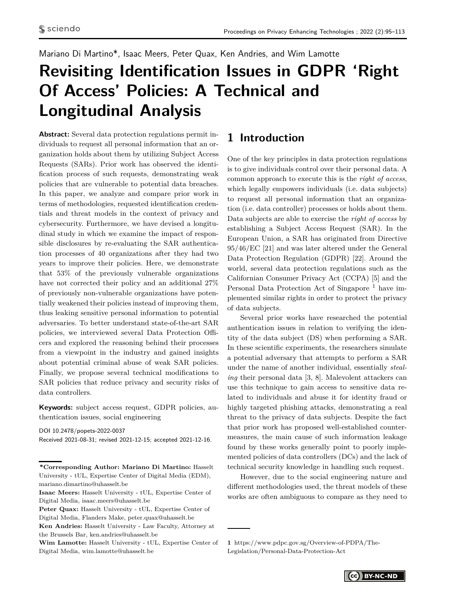## <span id="page-0-0"></span>Mariano Di Martino\*, Isaac Meers, Peter Quax, Ken Andries, and Wim Lamotte

# **Revisiting Identification Issues in GDPR 'Right Of Access' Policies: A Technical and Longitudinal Analysis**

**Abstract:** Several data protection regulations permit individuals to request all personal information that an organization holds about them by utilizing Subject Access Requests (SARs). Prior work has observed the identification process of such requests, demonstrating weak policies that are vulnerable to potential data breaches. In this paper, we analyze and compare prior work in terms of methodologies, requested identification credentials and threat models in the context of privacy and cybersecurity. Furthermore, we have devised a longitudinal study in which we examine the impact of responsible disclosures by re-evaluating the SAR authentication processes of 40 organizations after they had two years to improve their policies. Here, we demonstrate that 53% of the previously vulnerable organizations have not corrected their policy and an additional 27% of previously non-vulnerable organizations have potentially weakened their policies instead of improving them, thus leaking sensitive personal information to potential adversaries. To better understand state-of-the-art SAR policies, we interviewed several Data Protection Officers and explored the reasoning behind their processes from a viewpoint in the industry and gained insights about potential criminal abuse of weak SAR policies. Finally, we propose several technical modifications to SAR policies that reduce privacy and security risks of data controllers.

**Keywords:** subject access request, GDPR policies, authentication issues, social engineering

DOI 10.2478/popets-2022-0037 Received 2021-08-31; revised 2021-12-15; accepted 2021-12-16.

# **1 Introduction**

One of the key principles in data protection regulations is to give individuals control over their personal data. A common approach to execute this is the *right of access*, which legally empowers individuals (i.e. data subjects) to request all personal information that an organization (i.e. data controller) processes or holds about them. Data subjects are able to exercise the *right of access* by establishing a Subject Access Request (SAR). In the European Union, a SAR has originated from Directive 95/46/EC [\[21\]](#page-16-0) and was later altered under the General Data Protection Regulation (GDPR) [\[22\]](#page-16-1). Around the world, several data protection regulations such as the Californian Consumer Privacy Act (CCPA) [\[5\]](#page-16-2) and the Personal Data Protection Act of Singapore<sup>1</sup> have implemented similar rights in order to protect the privacy of data subjects.

Several prior works have researched the potential authentication issues in relation to verifying the identity of the data subject (DS) when performing a SAR. In these scientific experiments, the researchers simulate a potential adversary that attempts to perform a SAR under the name of another individual, essentially *stealing* their personal data [\[3,](#page-16-3) [8\]](#page-16-4). Malevolent attackers can use this technique to gain access to sensitive data related to individuals and abuse it for identity fraud or highly targeted phishing attacks, demonstrating a real threat to the privacy of data subjects. Despite the fact that prior work has proposed well-established countermeasures, the main cause of such information leakage found by these works generally point to poorly implemented policies of data controllers (DCs) and the lack of technical security knowledge in handling such request.

However, due to the social engineering nature and different methodologies used, the threat models of these works are often ambiguous to compare as they need to

**<sup>\*</sup>Corresponding Author: Mariano Di Martino:** Hasselt University - tUL, Expertise Center of Digital Media (EDM), mariano.dimartino@uhasselt.be

**Isaac Meers:** Hasselt University - tUL, Expertise Center of Digital Media, isaac.meers@uhasselt.be

**Peter Quax:** Hasselt University - tUL, Expertise Center of Digital Media, Flanders Make, peter.quax@uhasselt.be

**Ken Andries:** Hasselt University - Law Faculty, Attorney at the Brussels Bar, ken.andries@uhasselt.be

**Wim Lamotte:** Hasselt University - tUL, Expertise Center of Digital Media, wim.lamotte@uhasselt.be

**<sup>1</sup>** https://www.pdpc.gov.sg/Overview-of-PDPA/The-Legislation/Personal-Data-Protection-Act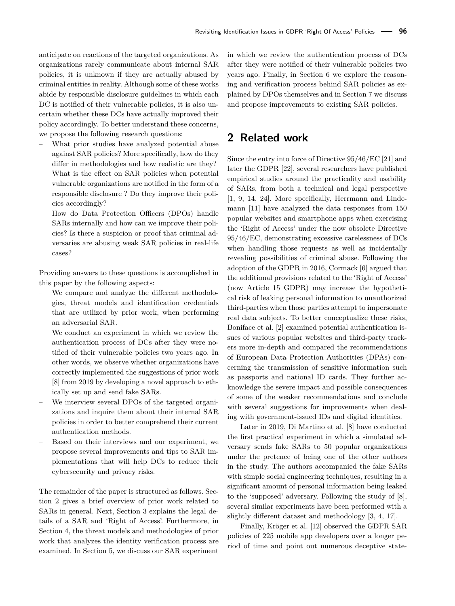anticipate on reactions of the targeted organizations. As organizations rarely communicate about internal [SAR](#page-0-0) policies, it is unknown if they are actually abused by criminal entities in reality. Although some of these works abide by responsible disclosure guidelines in which each [DC](#page-0-0) is notified of their vulnerable policies, it is also uncertain whether these [DCs](#page-0-0) have actually improved their policy accordingly. To better understand these concerns, we propose the following research questions:

- What prior studies have analyzed potential abuse against [SAR](#page-0-0) policies? More specifically, how do they differ in methodologies and how realistic are they?
- What is the effect on [SAR](#page-0-0) policies when potential vulnerable organizations are notified in the form of a responsible disclosure ? Do they improve their policies accordingly?
- How do [Data Protection Officers \(DPOs\)](#page-0-0) handle SARs internally and how can we improve their policies? Is there a suspicion or proof that criminal adversaries are abusing weak [SAR](#page-0-0) policies in real-life cases?

Providing answers to these questions is accomplished in this paper by the following aspects:

- We compare and analyze the different methodologies, threat models and identification credentials that are utilized by prior work, when performing an adversarial [SAR.](#page-0-0)
- We conduct an experiment in which we review the authentication process of [DCs](#page-0-0) after they were notified of their vulnerable policies two years ago. In other words, we observe whether organizations have correctly implemented the suggestions of prior work [\[8\]](#page-16-4) from 2019 by developing a novel approach to ethically set up and send fake [SARs.](#page-0-0)
- We interview several [DPOs](#page-0-0) of the targeted organizations and inquire them about their internal [SAR](#page-0-0) policies in order to better comprehend their current authentication methods.
- Based on their interviews and our experiment, we propose several improvements and tips to [SAR](#page-0-0) implementations that will help [DCs](#page-0-0) to reduce their cybersecurity and privacy risks.

The remainder of the paper is structured as follows. Section [2](#page-1-0) gives a brief overview of prior work related to [SARs](#page-0-0) in general. Next, Section [3](#page-2-0) explains the legal details of a [SAR](#page-0-0) and 'Right of Access'. Furthermore, in Section [4,](#page-2-1) the threat models and methodologies of prior work that analyzes the identity verification process are examined. In Section [5,](#page-6-0) we discuss our [SAR](#page-0-0) experiment

in which we review the authentication process of [DCs](#page-0-0) after they were notified of their vulnerable policies two years ago. Finally, in Section [6](#page-11-0) we explore the reasoning and verification process behind [SAR](#page-0-0) policies as explained by [DPOs](#page-0-0) themselves and in Section [7](#page-14-0) we discuss and propose improvements to existing [SAR](#page-0-0) policies.

## <span id="page-1-0"></span>**2 Related work**

Since the entry into force of Directive 95/46/EC [\[21\]](#page-16-0) and later the [GDPR](#page-0-0) [\[22\]](#page-16-1), several researchers have published empirical studies around the practicality and usability of [SARs,](#page-0-0) from both a technical and legal perspective [\[1,](#page-16-5) [9,](#page-16-6) [14,](#page-16-7) [24\]](#page-17-0). More specifically, Herrmann and Lindemann [\[11\]](#page-16-8) have analyzed the data responses from 150 popular websites and smartphone apps when exercising the 'Right of Access' under the now obsolete Directive 95/46/EC, demonstrating excessive carelessness of [DCs](#page-0-0) when handling those requests as well as incidentally revealing possibilities of criminal abuse. Following the adoption of the [GDPR](#page-0-0) in 2016, Cormack [\[6\]](#page-16-9) argued that the additional provisions related to the 'Right of Access' (now Article 15 GDPR) may increase the hypothetical risk of leaking personal information to unauthorized third-parties when those parties attempt to impersonate real data subjects. To better conceptualize these risks, Boniface et al. [\[2\]](#page-16-10) examined potential authentication issues of various popular websites and third-party trackers more in-depth and compared the recommendations of European [Data Protection Authorities \(DPAs\)](#page-0-0) concerning the transmission of sensitive information such as passports and national ID cards. They further acknowledge the severe impact and possible consequences of some of the weaker recommendations and conclude with several suggestions for improvements when dealing with government-issued IDs and digital identities.

Later in 2019, Di Martino et al. [\[8\]](#page-16-4) have conducted the first practical experiment in which a simulated adversary sends fake [SARs](#page-0-0) to 50 popular organizations under the pretence of being one of the other authors in the study. The authors accompanied the fake [SARs](#page-0-0) with simple social engineering techniques, resulting in a significant amount of personal information being leaked to the 'supposed' adversary. Following the study of [\[8\]](#page-16-4), several similar experiments have been performed with a slightly different dataset and methodology [\[3,](#page-16-3) [4,](#page-16-11) [17\]](#page-16-12).

Finally, Kröger et al. [\[12\]](#page-16-13) observed the [GDPR SAR](#page-0-0) policies of 225 mobile app developers over a longer period of time and point out numerous deceptive state-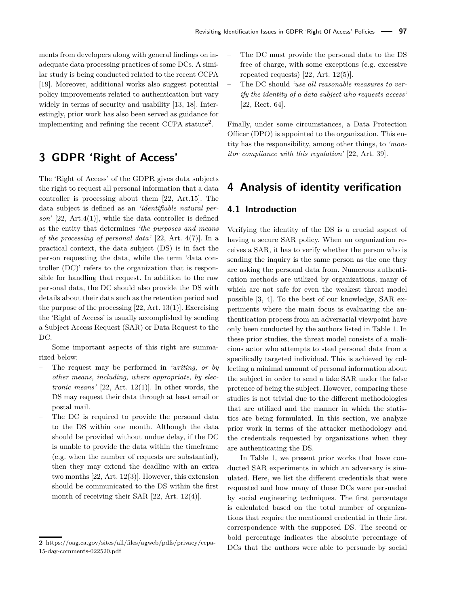ments from developers along with general findings on inadequate data processing practices of some [DCs.](#page-0-0) A similar study is being conducted related to the recent [CCPA](#page-0-0) [\[19\]](#page-16-14). Moreover, additional works also suggest potential policy improvements related to authentication but vary widely in terms of security and usability [\[13,](#page-16-15) [18\]](#page-16-16). Interestingly, prior work has also been served as guidance for implementing and refining the recent [CCPA](#page-0-0) statute<sup>[2](#page-0-0)</sup>.

# <span id="page-2-0"></span>**3 GDPR 'Right of Access'**

The 'Right of Access' of the GDPR gives data subjects the right to request all personal information that a data controller is processing about them [\[22,](#page-16-1) Art.15]. The data subject is defined as an *'identifiable natural person'* [\[22,](#page-16-1) Art.4(1)], while the data controller is defined as the entity that determines *'the purposes and means of the processing of personal data'* [\[22,](#page-16-1) Art. 4(7)]. In a practical context, the data subject (DS) is in fact the person requesting the data, while the term 'data controller (DC)' refers to the organization that is responsible for handling that request. In addition to the raw personal data, the [DC](#page-0-0) should also provide the [DS](#page-0-0) with details about their data such as the retention period and the purpose of the processing  $[22, Art. 13(1)]$  $[22, Art. 13(1)]$ . Exercising the 'Right of Access' is usually accomplished by sending a Subject Access Request (SAR) or Data Request to the [DC.](#page-0-0)

Some important aspects of this right are summarized below:

- The request may be performed in *'writing, or by other means, including, where appropriate, by electronic means'* [\[22,](#page-16-1) Art. 12(1)]. In other words, the [DS](#page-0-0) may request their data through at least email or postal mail.
- The [DC](#page-0-0) is required to provide the personal data to the [DS](#page-0-0) within one month. Although the data should be provided without undue delay, if the [DC](#page-0-0) is unable to provide the data within the timeframe (e.g. when the number of requests are substantial), then they may extend the deadline with an extra two months [\[22,](#page-16-1) Art. 12(3)]. However, this extension should be communicated to the [DS](#page-0-0) within the first month of receiving their [SAR](#page-0-0) [\[22,](#page-16-1) Art. 12(4)].
- The [DC](#page-0-0) must provide the personal data to the [DS](#page-0-0) free of charge, with some exceptions (e.g. excessive repeated requests) [\[22,](#page-16-1) Art. 12(5)].
- The [DC](#page-0-0) should *'use all reasonable measures to verify the identity of a data subject who requests access'* [\[22,](#page-16-1) Rect. 64].

Finally, under some circumstances, a Data Protection Officer (DPO) is appointed to the organization. This entity has the responsibility, among other things, to *'monitor compliance with this regulation'* [\[22,](#page-16-1) Art. 39].

# <span id="page-2-1"></span>**4 Analysis of identity verification**

## **4.1 Introduction**

Verifying the identity of the [DS](#page-0-0) is a crucial aspect of having a secure [SAR](#page-0-0) policy. When an organization receives a [SAR,](#page-0-0) it has to verify whether the person who is sending the inquiry is the same person as the one they are asking the personal data from. Numerous authentication methods are utilized by organizations, many of which are not safe for even the weakest threat model possible [\[3,](#page-16-3) [4\]](#page-16-11). To the best of our knowledge, SAR experiments where the main focus is evaluating the authentication process from an adversarial viewpoint have only been conducted by the authors listed in Table [1.](#page-3-0) In these prior studies, the threat model consists of a malicious actor who attempts to steal personal data from a specifically targeted individual. This is achieved by collecting a minimal amount of personal information about the subject in order to send a fake [SAR](#page-0-0) under the false pretence of being the subject. However, comparing these studies is not trivial due to the different methodologies that are utilized and the manner in which the statistics are being formulated. In this section, we analyze prior work in terms of the attacker methodology and the credentials requested by organizations when they are authenticating the [DS.](#page-0-0)

In Table [1,](#page-3-0) we present prior works that have conducted SAR experiments in which an adversary is simulated. Here, we list the different credentials that were requested and how many of these [DCs](#page-0-0) were persuaded by social engineering techniques. The first percentage is calculated based on the total number of organizations that require the mentioned credential in their first correspondence with the supposed [DS.](#page-0-0) The second or bold percentage indicates the absolute percentage of [DCs](#page-0-0) that the authors were able to persuade by social

**<sup>2</sup>** https://oag.ca.gov/sites/all/files/agweb/pdfs/privacy/ccpa-15-day-comments-022520.pdf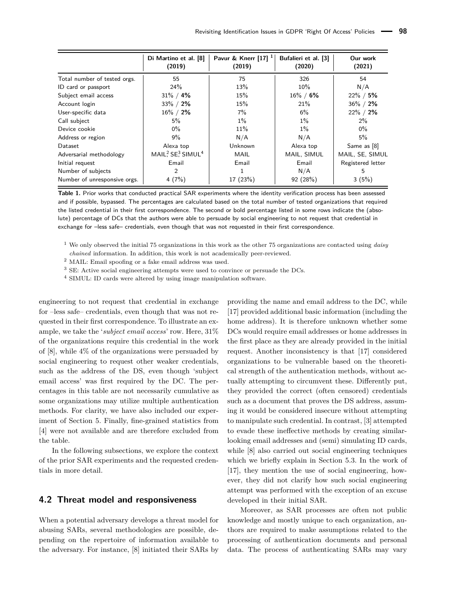<span id="page-3-0"></span>

|                              | Di Martino et al. [8]<br>(2019) | Pavur & Knerr $[17]$ <sup>1</sup><br>(2019) | Bufalieri et al. [3]<br>(2020) | Our work<br>(2021) |
|------------------------------|---------------------------------|---------------------------------------------|--------------------------------|--------------------|
| Total number of tested orgs. | 55                              | 75                                          | 326                            | 54                 |
| ID card or passport          | 24%                             | 13%                                         | 10%                            | N/A                |
| Subject email access         | $31\% / 4\%$                    | 15%                                         | $16\% / 6\%$                   | $22\% / 5\%$       |
| Account login                | $33\% / 2\%$                    | 15%                                         | 21%                            | $36\% / 2\%$       |
| User-specific data           | $16\% / 2\%$                    | 7%                                          | 6%                             | $22\% / 2\%$       |
| Call subject                 | $5\%$                           | $1\%$                                       | $1\%$                          | $2\%$              |
| Device cookie                | $0\%$                           | 11%                                         | $1\%$                          | $0\%$              |
| Address or region            | 9%                              | N/A                                         | N/A                            | 5%                 |
| Dataset                      | Alexa top                       | Unknown                                     | Alexa top                      | Same as [8]        |
| Adversarial methodology      | MAIL? $SE^3$ SIMUL <sup>4</sup> | MAIL                                        | MAIL, SIMUL                    | MAIL, SE, SIMUL    |
| Initial request              | Email                           | Email                                       | Email                          | Registered letter  |
| Number of subjects           | 2                               |                                             | N/A                            | 5                  |
| Number of unresponsive orgs. | 4(7%)                           | 17 (23%)                                    | 92(28%)                        | 3(5%)              |

**Table 1.** Prior works that conducted practical [SAR](#page-0-0) experiments where the identity verification process has been assessed and if possible, bypassed. The percentages are calculated based on the total number of tested organizations that required the listed credential in their first correspondence. The second or bold percentage listed in some rows indicate the (absolute) percentage of [DCs](#page-0-0) that the authors were able to persuade by social engineering to not request that credential in exchange for –less safe– credentials, even though that was not requested in their first correspondence.

<sup>1</sup> We only observed the initial 75 organizations in this work as the other 75 organizations are contacted using *daisy*

*chained* information. In addition, this work is not academically peer-reviewed.

 $^2$  MAIL: Email spoofing or a fake email address was used.

<sup>3</sup> SE: Active social engineering attempts were used to convince or persuade the [DCs.](#page-0-0)

<sup>4</sup> SIMUL: ID cards were altered by using image manipulation software.

engineering to not request that credential in exchange for –less safe– credentials, even though that was not requested in their first correspondence. To illustrate an example, we take the '*subject email access*' row. Here, 31% of the organizations require this credential in the work of [\[8\]](#page-16-4), while 4% of the organizations were persuaded by social engineering to request other weaker credentials, such as the address of the [DS,](#page-0-0) even though 'subject email access' was first required by the [DC.](#page-0-0) The percentages in this table are not necessarily cumulative as some organizations may utilize multiple authentication methods. For clarity, we have also included our experiment of Section [5.](#page-6-0) Finally, fine-grained statistics from [\[4\]](#page-16-11) were not available and are therefore excluded from the table.

In the following subsections, we explore the context of the prior SAR experiments and the requested credentials in more detail.

## **4.2 Threat model and responsiveness**

When a potential adversary develops a threat model for abusing [SARs,](#page-0-0) several methodologies are possible, depending on the repertoire of information available to the adversary. For instance, [\[8\]](#page-16-4) initiated their SARs by providing the name and email address to the [DC,](#page-0-0) while [\[17\]](#page-16-12) provided additional basic information (including the home address). It is therefore unknown whether some [DCs](#page-0-0) would require email addresses or home addresses in the first place as they are already provided in the initial request. Another inconsistency is that [\[17\]](#page-16-12) considered organizations to be vulnerable based on the theoretical strength of the authentication methods, without actually attempting to circumvent these. Differently put, they provided the correct (often censored) credentials such as a document that proves the [DS](#page-0-0) address, assuming it would be considered insecure without attempting to manipulate such credential. In contrast, [\[3\]](#page-16-3) attempted to evade these ineffective methods by creating similarlooking email addresses and (semi) simulating ID cards, while [\[8\]](#page-16-4) also carried out social engineering techniques which we briefly explain in Section [5.3.](#page-7-0) In the work of [\[17\]](#page-16-12), they mention the use of social engineering, however, they did not clarify how such social engineering attempt was performed with the exception of an excuse developed in their initial [SAR.](#page-0-0)

Moreover, as [SAR](#page-0-0) processes are often not public knowledge and mostly unique to each organization, authors are required to make assumptions related to the processing of authentication documents and personal data. The process of authenticating [SARs](#page-0-0) may vary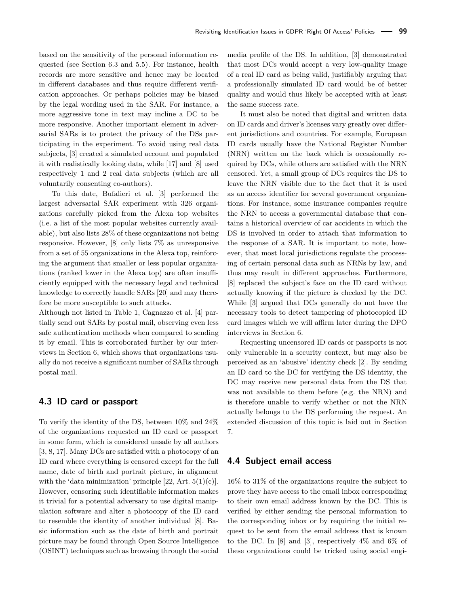based on the sensitivity of the personal information requested (see Section [6.3](#page-13-0) and [5.5\)](#page-9-0). For instance, health records are more sensitive and hence may be located in different databases and thus require different verification approaches. Or perhaps policies may be biased by the legal wording used in the [SAR.](#page-0-0) For instance, a more aggressive tone in text may incline a [DC](#page-0-0) to be more responsive. Another important element in adversarial [SARs](#page-0-0) is to protect the privacy of the [DSs](#page-0-0) participating in the experiment. To avoid using real data subjects, [\[3\]](#page-16-3) created a simulated account and populated it with realistically looking data, while [\[17\]](#page-16-12) and [\[8\]](#page-16-4) used respectively 1 and 2 real data subjects (which are all voluntarily consenting co-authors).

To this date, Bufalieri et al. [\[3\]](#page-16-3) performed the largest adversarial [SAR](#page-0-0) experiment with 326 organizations carefully picked from the Alexa top websites (i.e. a list of the most popular websites currently available), but also lists 28% of these organizations not being responsive. However, [\[8\]](#page-16-4) only lists 7% as unresponsive from a set of 55 organizations in the Alexa top, reinforcing the argument that smaller or less popular organizations (ranked lower in the Alexa top) are often insufficiently equipped with the necessary legal and technical knowledge to correctly handle [SARs](#page-0-0) [\[20\]](#page-16-17) and may therefore be more susceptible to such attacks.

Although not listed in Table [1,](#page-3-0) Cagnazzo et al. [\[4\]](#page-16-11) partially send out [SARs](#page-0-0) by postal mail, observing even less safe authentication methods when compared to sending it by email. This is corroborated further by our interviews in Section [6,](#page-11-0) which shows that organizations usually do not receive a significant number of [SARs](#page-0-0) through postal mail.

#### <span id="page-4-0"></span>**4.3 ID card or passport**

To verify the identity of the [DS,](#page-0-0) between 10% and 24% of the organizations requested an ID card or passport in some form, which is considered unsafe by all authors [\[3,](#page-16-3) [8,](#page-16-4) [17\]](#page-16-12). Many [DCs](#page-0-0) are satisfied with a photocopy of an ID card where everything is censored except for the full name, date of birth and portrait picture, in alignment with the 'data minimization' principle  $[22, Art. 5(1)(c)].$  $[22, Art. 5(1)(c)].$ However, censoring such identifiable information makes it trivial for a potential adversary to use digital manipulation software and alter a photocopy of the ID card to resemble the identity of another individual [\[8\]](#page-16-4). Basic information such as the date of birth and portrait picture may be found through [Open Source Intelligence](#page-0-0) [\(OSINT\)](#page-0-0) techniques such as browsing through the social

media profile of the [DS.](#page-0-0) In addition, [\[3\]](#page-16-3) demonstrated that most [DCs](#page-0-0) would accept a very low-quality image of a real ID card as being valid, justifiably arguing that a professionally simulated ID card would be of better quality and would thus likely be accepted with at least the same success rate.

It must also be noted that digital and written data on ID cards and driver's licenses vary greatly over different jurisdictions and countries. For example, European ID cards usually have the [National Register Number](#page-0-0) [\(NRN\)](#page-0-0) written on the back which is occasionally required by [DCs,](#page-0-0) while others are satisfied with the [NRN](#page-0-0) censored. Yet, a small group of [DCs](#page-0-0) requires the [DS](#page-0-0) to leave the [NRN](#page-0-0) visible due to the fact that it is used as an access identifier for several government organizations. For instance, some insurance companies require the [NRN](#page-0-0) to access a governmental database that contains a historical overview of car accidents in which the [DS](#page-0-0) is involved in order to attach that information to the response of a [SAR.](#page-0-0) It is important to note, however, that most local jurisdictions regulate the processing of certain personal data such as [NRNs](#page-0-0) by law, and thus may result in different approaches. Furthermore, [\[8\]](#page-16-4) replaced the subject's face on the ID card without actually knowing if the picture is checked by the [DC.](#page-0-0) While [\[3\]](#page-16-3) argued that [DCs](#page-0-0) generally do not have the necessary tools to detect tampering of photocopied ID card images which we will affirm later during the [DPO](#page-0-0) interviews in Section [6.](#page-11-0)

Requesting uncensored ID cards or passports is not only vulnerable in a security context, but may also be perceived as an 'abusive' identity check [\[2\]](#page-16-10). By sending an ID card to the [DC](#page-0-0) for verifying the [DS](#page-0-0) identity, the [DC](#page-0-0) may receive new personal data from the [DS](#page-0-0) that was not available to them before (e.g. the [NRN\)](#page-0-0) and is therefore unable to verify whether or not the [NRN](#page-0-0) actually belongs to the [DS](#page-0-0) performing the request. An extended discussion of this topic is laid out in Section [7.](#page-14-0)

## **4.4 Subject email access**

16% to 31% of the organizations require the subject to prove they have access to the email inbox corresponding to their own email address known by the [DC.](#page-0-0) This is verified by either sending the personal information to the corresponding inbox or by requiring the initial request to be sent from the email address that is known to the [DC.](#page-0-0) In [\[8\]](#page-16-4) and [\[3\]](#page-16-3), respectively  $4\%$  and  $6\%$  of these organizations could be tricked using social engi-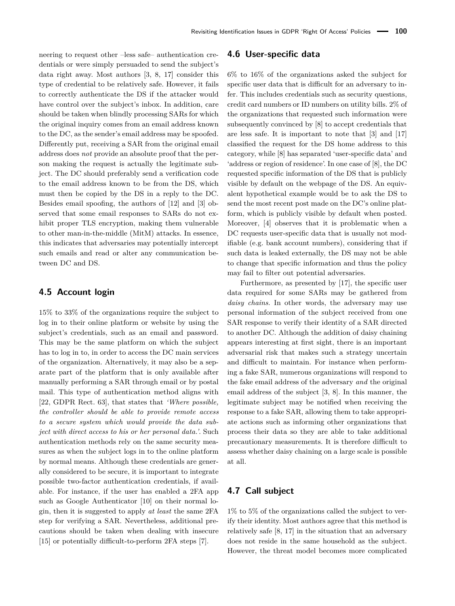neering to request other –less safe– authentication credentials or were simply persuaded to send the subject's data right away. Most authors [\[3,](#page-16-3) [8,](#page-16-4) [17\]](#page-16-12) consider this type of credential to be relatively safe. However, it fails to correctly authenticate the [DS](#page-0-0) if the attacker would have control over the subject's inbox. In addition, care should be taken when blindly processing [SARs](#page-0-0) for which the original inquiry comes from an email address known to the [DC,](#page-0-0) as the sender's email address may be spoofed. Differently put, receiving a [SAR](#page-0-0) from the original email address does *not* provide an absolute proof that the person making the request is actually the legitimate subject. The [DC](#page-0-0) should preferably send a verification code to the email address known to be from the [DS,](#page-0-0) which must then be copied by the [DS](#page-0-0) in a reply to the [DC.](#page-0-0) Besides email spoofing, the authors of [\[12\]](#page-16-13) and [\[3\]](#page-16-3) observed that some email responses to [SARs](#page-0-0) do not exhibit proper TLS encryption, making them vulnerable to other [man-in-the-middle \(MitM\)](#page-0-0) attacks. In essence, this indicates that adversaries may potentially intercept such emails and read or alter any communication between [DC](#page-0-0) and [DS.](#page-0-0)

## **4.5 Account login**

15% to 33% of the organizations require the subject to log in to their online platform or website by using the subject's credentials, such as an email and password. This may be the same platform on which the subject has to log in to, in order to access the [DC](#page-0-0) main services of the organization. Alternatively, it may also be a separate part of the platform that is only available after manually performing a [SAR](#page-0-0) through email or by postal mail. This type of authentication method aligns with [\[22,](#page-16-1) GDPR Rect. 63], that states that *'Where possible, the controller should be able to provide remote access to a secure system which would provide the data subject with direct access to his or her personal data.'*. Such authentication methods rely on the same security measures as when the subject logs in to the online platform by normal means. Although these credentials are generally considered to be secure, it is important to integrate possible two-factor authentication credentials, if available. For instance, if the user has enabled a 2FA app such as Google Authenticator [\[10\]](#page-16-18) on their normal login, then it is suggested to apply *at least* the same 2FA step for verifying a [SAR.](#page-0-0) Nevertheless, additional precautions should be taken when dealing with insecure [\[15\]](#page-16-19) or potentially difficult-to-perform 2FA steps [\[7\]](#page-16-20).

#### **4.6 User-specific data**

6% to 16% of the organizations asked the subject for specific user data that is difficult for an adversary to infer. This includes credentials such as security questions, credit card numbers or ID numbers on utility bills. 2% of the organizations that requested such information were subsequently convinced by [\[8\]](#page-16-4) to accept credentials that are less safe. It is important to note that [\[3\]](#page-16-3) and [\[17\]](#page-16-12) classified the request for the [DS](#page-0-0) home address to this category, while [\[8\]](#page-16-4) has separated 'user-specific data' and 'address or region of residence'. In one case of [\[8\]](#page-16-4), the [DC](#page-0-0) requested specific information of the [DS](#page-0-0) that is publicly visible by default on the webpage of the [DS.](#page-0-0) An equivalent hypothetical example would be to ask the [DS](#page-0-0) to send the most recent post made on the [DC'](#page-0-0)s online platform, which is publicly visible by default when posted. Moreover, [\[4\]](#page-16-11) observes that it is problematic when a [DC](#page-0-0) requests user-specific data that is usually not modifiable (e.g. bank account numbers), considering that if such data is leaked externally, the [DS](#page-0-0) may not be able to change that specific information and thus the policy may fail to filter out potential adversaries.

Furthermore, as presented by [\[17\]](#page-16-12), the specific user data required for some [SARs](#page-0-0) may be gathered from *daisy chains*. In other words, the adversary may use personal information of the subject received from one [SAR](#page-0-0) response to verify their identity of a [SAR](#page-0-0) directed to another [DC.](#page-0-0) Although the addition of daisy chaining appears interesting at first sight, there is an important adversarial risk that makes such a strategy uncertain and difficult to maintain. For instance when performing a fake [SAR,](#page-0-0) numerous organizations will respond to the fake email address of the adversary *and* the original email address of the subject [\[3,](#page-16-3) [8\]](#page-16-4). In this manner, the legitimate subject may be notified when receiving the response to a fake [SAR,](#page-0-0) allowing them to take appropriate actions such as informing other organizations that process their data so they are able to take additional precautionary measurements. It is therefore difficult to assess whether daisy chaining on a large scale is possible at all.

## **4.7 Call subject**

1% to 5% of the organizations called the subject to verify their identity. Most authors agree that this method is relatively safe [\[8,](#page-16-4) [17\]](#page-16-12) in the situation that an adversary does not reside in the same household as the subject. However, the threat model becomes more complicated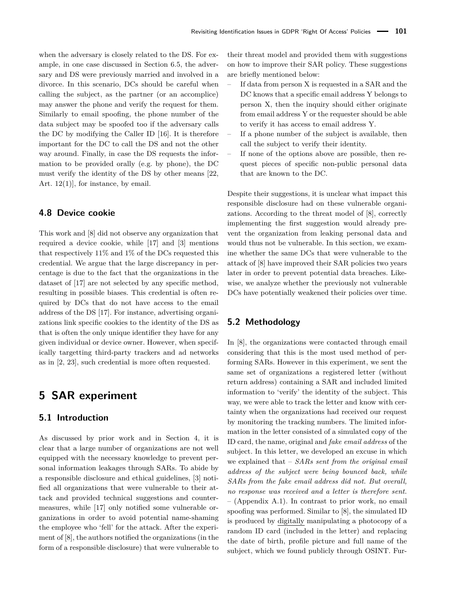when the adversary is closely related to the [DS.](#page-0-0) For example, in one case discussed in Section [6.5,](#page-13-1) the adversary and [DS](#page-0-0) were previously married and involved in a divorce. In this scenario, [DCs](#page-0-0) should be careful when calling the subject, as the partner (or an accomplice) may answer the phone and verify the request for them. Similarly to email spoofing, the phone number of the data subject may be spoofed too if the adversary calls the [DC](#page-0-0) by modifying the Caller ID [\[16\]](#page-16-21). It is therefore important for the [DC](#page-0-0) to call the [DS](#page-0-0) and not the other way around. Finally, in case the [DS](#page-0-0) requests the information to be provided orally (e.g. by phone), the [DC](#page-0-0) must verify the identity of the [DS](#page-0-0) by other means [\[22,](#page-16-1) Art. 12(1)], for instance, by email.

## **4.8 Device cookie**

This work and [\[8\]](#page-16-4) did not observe any organization that required a device cookie, while [\[17\]](#page-16-12) and [\[3\]](#page-16-3) mentions that respectively 11% and 1% of the [DCs](#page-0-0) requested this credential. We argue that the large discrepancy in percentage is due to the fact that the organizations in the dataset of [\[17\]](#page-16-12) are not selected by any specific method, resulting in possible biases. This credential is often required by [DCs](#page-0-0) that do not have access to the email address of the [DS](#page-0-0) [\[17\]](#page-16-12). For instance, advertising organizations link specific cookies to the identity of the [DS](#page-0-0) as that is often the only unique identifier they have for any given individual or device owner. However, when specifically targetting third-party trackers and ad networks as in [\[2,](#page-16-10) [23\]](#page-16-22), such credential is more often requested.

## <span id="page-6-0"></span>**5 SAR experiment**

## **5.1 Introduction**

As discussed by prior work and in Section [4,](#page-2-1) it is clear that a large number of organizations are not well equipped with the necessary knowledge to prevent personal information leakages through [SARs.](#page-0-0) To abide by a responsible disclosure and ethical guidelines, [\[3\]](#page-16-3) notified all organizations that were vulnerable to their attack and provided technical suggestions and countermeasures, while [\[17\]](#page-16-12) only notified some vulnerable organizations in order to avoid potential name-shaming the employee who 'fell' for the attack. After the experiment of [\[8\]](#page-16-4), the authors notified the organizations (in the form of a responsible disclosure) that were vulnerable to their threat model and provided them with suggestions on how to improve their [SAR](#page-0-0) policy. These suggestions are briefly mentioned below:

- If data from person X is requested in a [SAR](#page-0-0) and the [DC](#page-0-0) knows that a specific email address Y belongs to person X, then the inquiry should either originate from email address Y or the requester should be able to verify it has access to email address Y.
- If a phone number of the subject is available, then call the subject to verify their identity.
- If none of the options above are possible, then request pieces of specific non-public personal data that are known to the [DC.](#page-0-0)

Despite their suggestions, it is unclear what impact this responsible disclosure had on these vulnerable organizations. According to the threat model of [\[8\]](#page-16-4), correctly implementing the first suggestion would already prevent the organization from leaking personal data and would thus not be vulnerable. In this section, we examine whether the same [DCs](#page-0-0) that were vulnerable to the attack of [\[8\]](#page-16-4) have improved their [SAR](#page-0-0) policies two years later in order to prevent potential data breaches. Likewise, we analyze whether the previously not vulnerable [DCs](#page-0-0) have potentially weakened their policies over time.

## <span id="page-6-1"></span>**5.2 Methodology**

In [\[8\]](#page-16-4), the organizations were contacted through email considering that this is the most used method of performing SARs. However in this experiment, we sent the same set of organizations a registered letter (without return address) containing a SAR and included limited information to 'verify' the identity of the subject. This way, we were able to track the letter and know with certainty when the organizations had received our request by monitoring the tracking numbers. The limited information in the letter consisted of a simulated copy of the ID card, the name, original and *fake email address* of the subject. In this letter, we developed an excuse in which we explained that – *SARs sent from the original email address of the subject were being bounced back, while SARs from the fake email address did not. But overall, no response was received and a letter is therefore sent.* – (Appendix [A.1\)](#page-17-1). In contrast to prior work, no email spoofing was performed. Similar to [\[8\]](#page-16-4), the simulated ID is produced by digitally manipulating a photocopy of a random ID card (included in the letter) and replacing the date of birth, profile picture and full name of the subject, which we found publicly through [OSINT.](#page-0-0) Fur-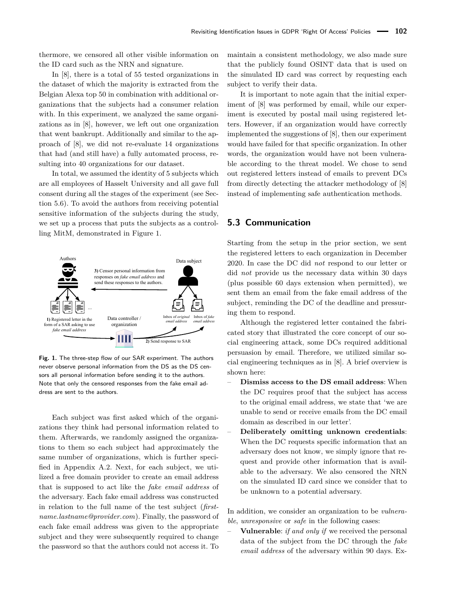thermore, we censored all other visible information on the ID card such as the [NRN](#page-0-0) and signature.

In [\[8\]](#page-16-4), there is a total of 55 tested organizations in the dataset of which the majority is extracted from the Belgian Alexa top 50 in combination with additional organizations that the subjects had a consumer relation with. In this experiment, we analyzed the same organizations as in [\[8\]](#page-16-4), however, we left out one organization that went bankrupt. Additionally and similar to the approach of [\[8\]](#page-16-4), we did not re-evaluate 14 organizations that had (and still have) a fully automated process, resulting into 40 organizations for our dataset.

In total, we assumed the identity of 5 subjects which are all employees of Hasselt University and all gave full consent during all the stages of the experiment (see Section [5.6\)](#page-11-1). To avoid the authors from receiving potential sensitive information of the subjects during the study, we set up a process that puts the subjects as a controlling [MitM,](#page-0-0) demonstrated in Figure [1.](#page-7-1)

<span id="page-7-1"></span>

**Fig. 1.** The three-step flow of our SAR experiment. The authors never observe personal information from the [DS](#page-0-0) as the [DS](#page-0-0) censors all personal information before sending it to the authors. Note that only the censored responses from the fake email address are sent to the authors.

Each subject was first asked which of the organizations they think had personal information related to them. Afterwards, we randomly assigned the organizations to them so each subject had approximately the same number of organizations, which is further specified in Appendix [A.2.](#page-17-2) Next, for each subject, we utilized a free domain provider to create an email address that is supposed to act like the *fake email address* of the adversary. Each fake email address was constructed in relation to the full name of the test subject (*firstname.lastname@provider.com*). Finally, the password of each fake email address was given to the appropriate subject and they were subsequently required to change the password so that the authors could not access it. To

maintain a consistent methodology, we also made sure that the publicly found OSINT data that is used on the simulated ID card was correct by requesting each subject to verify their data.

It is important to note again that the initial experiment of [\[8\]](#page-16-4) was performed by email, while our experiment is executed by postal mail using registered letters. However, if an organization would have correctly implemented the suggestions of [\[8\]](#page-16-4), then our experiment would have failed for that specific organization. In other words, the organization would have not been vulnerable according to the threat model. We chose to send out registered letters instead of emails to prevent [DCs](#page-0-0) from directly detecting the attacker methodology of [\[8\]](#page-16-4) instead of implementing safe authentication methods.

## <span id="page-7-0"></span>**5.3 Communication**

Starting from the setup in the prior section, we sent the registered letters to each organization in December 2020. In case the [DC](#page-0-0) did *not* respond to our letter or did *not* provide us the necessary data within 30 days (plus possible 60 days extension when permitted), we sent them an email from the fake email address of the subject, reminding the [DC](#page-0-0) of the deadline and pressuring them to respond.

Although the registered letter contained the fabricated story that illustrated the core concept of our social engineering attack, some [DCs](#page-0-0) required additional persuasion by email. Therefore, we utilized similar social engineering techniques as in [\[8\]](#page-16-4). A brief overview is shown here:

- **Dismiss access to the [DS](#page-0-0) email address**: When the [DC](#page-0-0) requires proof that the subject has access to the original email address, we state that 'we are unable to send or receive emails from the [DC](#page-0-0) email domain as described in our letter'.
- **Deliberately omitting unknown credentials**: When the [DC](#page-0-0) requests specific information that an adversary does not know, we simply ignore that request and provide other information that is available to the adversary. We also censored the [NRN](#page-0-0) on the simulated ID card since we consider that to be unknown to a potential adversary.

In addition, we consider an organization to be *vulnerable*, *unresponsive* or *safe* in the following cases:

– **Vulnerable**: *if and only if* we received the personal data of the subject from the [DC](#page-0-0) through the *fake email address* of the adversary within 90 days. Ex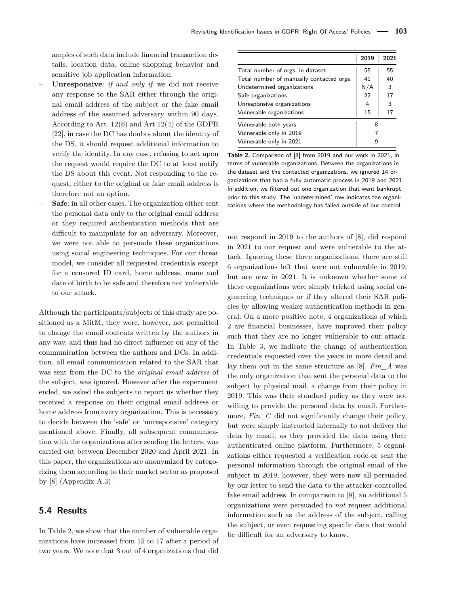amples of such data include financial transaction details, location data, online shopping behavior and sensitive job application information.

- **Unresponsive**: *if and only if* we did not receive any response to the SAR either through the original email address of the subject or the fake email address of the assumed adversary within 90 days. According to Art. 12(6) and Art 12(4) of the GDPR [\[22\]](#page-16-1), in case the [DC](#page-0-0) has doubts about the identity of the [DS,](#page-0-0) it should request additional information to verify the identity. In any case, refusing to act upon the request would require the [DC](#page-0-0) to at least notify the [DS](#page-0-0) about this event. Not responding to the request, either to the original or fake email address is therefore not an option.
- **Safe**: in all other cases. The organization either sent the personal data only to the original email address or they required authentication methods that are difficult to manipulate for an adversary. Moreover, we were not able to persuade these organizations using social engineering techniques. For our threat model, we consider all requested credentials except for a censored ID card, home address, name and date of birth to be safe and therefore not vulnerable to our attack.

Although the participants/subjects of this study are positioned as a [MitM,](#page-0-0) they were, however, not permitted to change the email contents written by the authors in any way, and thus had no direct influence on any of the communication between the authors and [DCs.](#page-0-0) In addition, all email communication related to the SAR that was sent from the [DC](#page-0-0) to the *original email address* of the subject, was ignored. However after the experiment ended, we asked the subjects to report us whether they received a response on their original email address or home address from every organization. This is necessary to decide between the 'safe' or 'unresponsive' category mentioned above. Finally, all subsequent communication with the organizations after sending the letters, was carried out between December 2020 and April 2021. In this paper, the organizations are anonymized by categorizing them according to their market sector as proposed by [\[8\]](#page-16-4) (Appendix [A.3\)](#page-18-1).

#### **5.4 Results**

In Table [2,](#page-8-0) we show that the number of vulnerable organizations have increased from 15 to 17 after a period of two years. We note that 3 out of 4 organizations that did

<span id="page-8-0"></span>

|                                          | 2019 | 2021 |  |
|------------------------------------------|------|------|--|
| Total number of orgs. in dataset.        | 55   | 55   |  |
| Total number of manually contacted orgs. | 41   | 40   |  |
| Undetermined organizations               | N/A  | 3    |  |
| Safe organizations                       | 22   | 17   |  |
| Unresponsive organizations               | 4    | 3    |  |
| Vulnerable organizations                 | 15   | 17   |  |
| Vulnerable both years                    | 8    |      |  |
| Vulnerable only in 2019                  |      |      |  |
| Vulnerable only in 2021                  |      |      |  |

**Table 2.** Comparison of [\[8\]](#page-16-4) from 2019 and our work in 2021, in terms of vulnerable organizations. Between the organizations in the dataset and the contacted organizations, we ignored 14 organizations that had a fully automatic process in 2019 and 2021. In addition, we filtered out one organization that went bankrupt prior to this study. The 'undetermined' row indicates the organizations where the methodology has failed outside of our control.

not respond in 2019 to the authors of [\[8\]](#page-16-4), did respond in 2021 to our request and were vulnerable to the attack. Ignoring these three organizations, there are still 6 organizations left that were not vulnerable in 2019, but are now in 2021. It is unknown whether some of these organizations were simply tricked using social engineering techniques or if they altered their SAR policies by allowing weaker authentication methods in general. On a more positive note, 4 organizations of which 2 are financial businesses, have improved their policy such that they are no longer vulnerable to our attack. In Table [3,](#page-10-0) we indicate the change of authentication credentials requested over the years in more detail and lay them out in the same structure as [\[8\]](#page-16-4). *Fin\_A* was the only organization that sent the personal data to the subject by physical mail, a change from their policy in 2019. This was their standard policy as they were not willing to provide the personal data by email. Furthermore, *Fin* C did not significantly change their policy, but were simply instructed internally to not deliver the data by email, as they provided the data using their authenticated online platform. Furthermore, 5 organizations either requested a verification code or sent the personal information through the original email of the subject in 2019, however, they were now all persuaded by our letter to send the data to the attacker-controlled fake email address. In comparison to [\[8\]](#page-16-4), an additional 5 organizations were persuaded to *not* request additional information such as the address of the subject, calling the subject, or even requesting specific data that would be difficult for an adversary to know.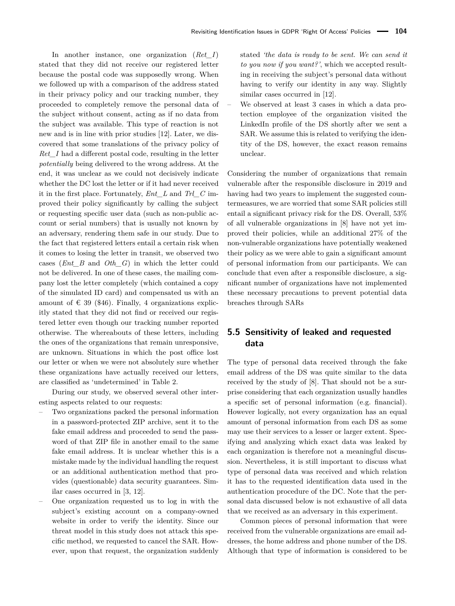In another instance, one organization (*Ret\_I*) stated that they did not receive our registered letter because the postal code was supposedly wrong. When we followed up with a comparison of the address stated in their privacy policy and our tracking number, they proceeded to completely remove the personal data of the subject without consent, acting as if no data from the subject was available. This type of reaction is not new and is in line with prior studies [\[12\]](#page-16-13). Later, we discovered that some translations of the privacy policy of *Ret\_I* had a different postal code, resulting in the letter *potentially* being delivered to the wrong address. At the end, it was unclear as we could not decisively indicate whether the [DC](#page-0-0) lost the letter or if it had never received it in the first place. Fortunately, *Ent\_L* and *Trl\_C* improved their policy significantly by calling the subject or requesting specific user data (such as non-public account or serial numbers) that is usually not known by an adversary, rendering them safe in our study. Due to the fact that registered letters entail a certain risk when it comes to losing the letter in transit, we observed two cases (*Ent\_B* and *Oth\_G*) in which the letter could not be delivered. In one of these cases, the mailing company lost the letter completely (which contained a copy of the simulated ID card) and compensated us with an amount of  $\in$  39 (\$46). Finally, 4 organizations explicitly stated that they did not find or received our registered letter even though our tracking number reported otherwise. The whereabouts of these letters, including the ones of the organizations that remain unresponsive, are unknown. Situations in which the post office lost our letter or when we were not absolutely sure whether these organizations have actually received our letters, are classified as 'undetermined' in Table [2.](#page-8-0)

During our study, we observed several other interesting aspects related to our requests:

- Two organizations packed the personal information in a password-protected ZIP archive, sent it to the fake email address and proceeded to send the password of that ZIP file in another email to the same fake email address. It is unclear whether this is a mistake made by the individual handling the request or an additional authentication method that provides (questionable) data security guarantees. Similar cases occurred in [\[3,](#page-16-3) [12\]](#page-16-13).
- One organization requested us to log in with the subject's existing account on a company-owned website in order to verify the identity. Since our threat model in this study does not attack this specific method, we requested to cancel the SAR. However, upon that request, the organization suddenly

stated *'the data is ready to be sent. We can send it to you now if you want?'*, which we accepted resulting in receiving the subject's personal data without having to verify our identity in any way. Slightly similar cases occurred in [\[12\]](#page-16-13).

– We observed at least 3 cases in which a data protection employee of the organization visited the LinkedIn profile of the [DS](#page-0-0) shortly after we sent a [SAR.](#page-0-0) We assume this is related to verifying the identity of the [DS,](#page-0-0) however, the exact reason remains unclear.

Considering the number of organizations that remain vulnerable after the responsible disclosure in 2019 and having had two years to implement the suggested countermeasures, we are worried that some SAR policies still entail a significant privacy risk for the DS. Overall, 53% of all vulnerable organizations in [\[8\]](#page-16-4) have not yet improved their policies, while an additional 27% of the non-vulnerable organizations have potentially weakened their policy as we were able to gain a significant amount of personal information from our participants. We can conclude that even after a responsible disclosure, a significant number of organizations have not implemented these necessary precautions to prevent potential data breaches through SARs

## <span id="page-9-0"></span>**5.5 Sensitivity of leaked and requested data**

The type of personal data received through the fake email address of the [DS](#page-0-0) was quite similar to the data received by the study of [\[8\]](#page-16-4). That should not be a surprise considering that each organization usually handles a specific set of personal information (e.g. financial). However logically, not every organization has an equal amount of personal information from each [DS](#page-0-0) as some may use their services to a lesser or larger extent. Specifying and analyzing which exact data was leaked by each organization is therefore not a meaningful discussion. Nevertheless, it is still important to discuss what type of personal data was received and which relation it has to the requested identification data used in the authentication procedure of the [DC.](#page-0-0) Note that the personal data discussed below is not exhaustive of all data that we received as an adversary in this experiment.

Common pieces of personal information that were received from the vulnerable organizations are email addresses, the home address and phone number of the [DS.](#page-0-0) Although that type of information is considered to be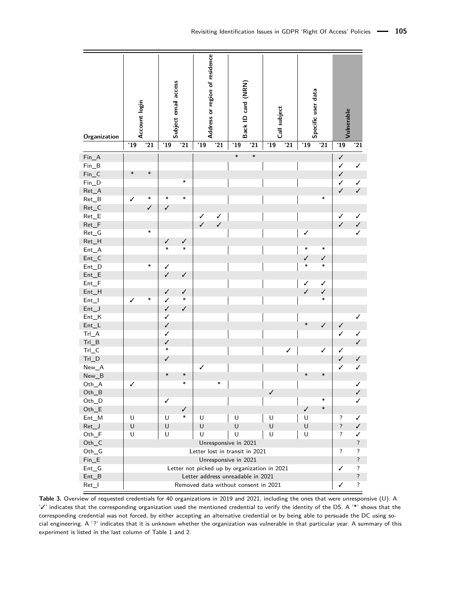<span id="page-10-0"></span>

| Organization                    |                                              | Account login |              | Subject email access | Address or region of residence |              | Back ID card (NRN) |                    | Call subject |              | Specific user data |              | Vulnerable         |                |
|---------------------------------|----------------------------------------------|---------------|--------------|----------------------|--------------------------------|--------------|--------------------|--------------------|--------------|--------------|--------------------|--------------|--------------------|----------------|
|                                 | '19                                          | '21           | '19          | '21                  | '19                            | '21          | '19                | $\overline{21}$    | '19          | '21          | '19                | '21          | $\overline{19}$    | '21            |
| $Fin_A$                         |                                              |               |              |                      |                                |              | $\ast$             | $\ast$             |              |              |                    |              | $\checkmark$       |                |
| $Fin_B$                         |                                              |               |              |                      |                                |              |                    |                    |              |              |                    |              | $\checkmark$       | $\checkmark$   |
| $Fin_C$                         | $\ast$                                       | $\ast$        |              |                      |                                |              |                    |                    |              |              |                    |              | $\checkmark$       |                |
| $Fin\_D$                        |                                              |               |              | $\ast$               |                                |              |                    |                    |              |              |                    |              | $\checkmark$       | ✓              |
| $Ret\_A$                        |                                              |               |              |                      |                                |              |                    |                    |              |              |                    |              | $\checkmark$       | $\checkmark$   |
| $Ret_B$                         | $\checkmark$                                 | *             | $\ast$       | $\ast$               |                                |              |                    |                    |              |              |                    | $\ast$       |                    |                |
| $Ret\_C$                        |                                              | $\checkmark$  | $\checkmark$ |                      |                                |              |                    |                    |              |              |                    |              |                    |                |
| $Ret\_E$                        |                                              |               |              |                      | ✓                              | ✓            |                    |                    |              |              |                    |              | ✓                  | ✓              |
| $Ret_F$                         |                                              |               |              |                      | $\checkmark$                   | $\checkmark$ |                    |                    |              |              |                    |              | $\checkmark$       | $\checkmark$   |
| $Ret_G$                         |                                              | *             |              |                      |                                |              |                    |                    |              |              | ✓                  |              |                    | $\checkmark$   |
| Ret_H                           |                                              |               | ✓            | ✓                    |                                |              |                    |                    |              |              |                    |              |                    |                |
| $Ent_A$                         |                                              |               | $\ast$       | $\ast$               |                                |              |                    |                    |              |              | $\ast$             | $\ast$       |                    |                |
| $Ent_C$                         |                                              |               |              |                      |                                |              |                    |                    |              |              | $\checkmark$       | $\checkmark$ |                    |                |
| $Ent_D$                         |                                              | $\ast$        | ✓            |                      |                                |              |                    |                    |              |              | $\ast$             | $\ast$       |                    |                |
| $Ent_E$                         |                                              |               | $\checkmark$ | $\checkmark$         |                                |              |                    |                    |              |              |                    |              |                    |                |
| $Ent_F$                         |                                              |               |              |                      |                                |              |                    |                    |              |              | $\checkmark$       | $\checkmark$ |                    |                |
| $Ent_H$                         |                                              |               | $\checkmark$ | $\checkmark$         |                                |              |                    |                    |              |              | $\checkmark$       | $\checkmark$ |                    |                |
| $Ent_l$                         | ✓                                            | *             | ✓            | $\ast$               |                                |              |                    |                    |              |              |                    | $\ast$       |                    |                |
| $Ent_J$                         |                                              |               | $\checkmark$ | $\checkmark$         |                                |              |                    |                    |              |              |                    |              |                    |                |
| $Ent_K$                         |                                              |               | ✓            |                      |                                |              |                    |                    |              |              |                    |              |                    | ✓              |
| $Ent_l$                         |                                              |               | $\checkmark$ |                      |                                |              |                    |                    |              |              | $\ast$             | $\checkmark$ | $\checkmark$       |                |
| $Trl_A$                         |                                              |               | ✓            |                      |                                |              |                    |                    |              |              |                    |              | ✓                  | $\checkmark$   |
| $Trl_B$                         |                                              |               | $\checkmark$ |                      |                                |              |                    |                    |              |              |                    |              |                    | $\checkmark$   |
| $Trl_C$                         |                                              |               | $\ast$       |                      |                                |              |                    |                    |              | $\checkmark$ |                    | ✓            | ✓                  |                |
| $TrI_D$                         |                                              |               | ✓            |                      |                                |              |                    |                    |              |              |                    |              | $\checkmark$       | $\checkmark$   |
| New_A                           |                                              |               |              |                      | ✓                              |              |                    |                    |              |              |                    |              | ✓                  | ✓              |
| $New_B$                         |                                              |               | $\ast$       | $\ast$               |                                |              |                    |                    |              |              | $\ast$             | $\ast$       |                    |                |
| Oth_A                           | ✓                                            |               |              | $\ast$               |                                | $\ast$       |                    |                    |              |              |                    |              |                    | $\checkmark$   |
| $Oth_B$                         |                                              |               |              |                      |                                |              |                    |                    | ∕            |              |                    |              |                    | $\overline{J}$ |
| Oth_D                           |                                              |               | ✓            |                      |                                |              |                    |                    |              |              |                    | *            |                    | ✓              |
| $Oth$ <sup><math>E</math></sup> |                                              |               |              | ✓                    |                                |              |                    |                    |              |              | ✓                  | $\ast$       |                    |                |
| $Ent_M$                         | U                                            |               | U            | $\ast$               | U                              |              | U                  |                    | U            |              | U                  |              | ?                  | ✓              |
| $Ret\_J$                        | $\sf U$                                      |               | $\sf U$      |                      | U                              |              | $\sf U$            |                    | $\sf U$      |              | $\sf U$            |              | $\overline{\cdot}$ | ✓              |
| $Oth_F$                         | U                                            |               | U            |                      | U                              |              | U                  |                    | U            |              | U                  |              | ?                  | ✓              |
| $Oth_C$                         | Unresponsive in 2021                         |               |              |                      |                                |              |                    | $\ddot{?}$         |              |              |                    |              |                    |                |
| $Oth_G$                         | Letter lost in transit in 2021               |               |              |                      |                                |              |                    | $\overline{\cdot}$ | ?            |              |                    |              |                    |                |
| $Fin_E$                         | Unresponsive in 2021                         |               |              |                      |                                |              |                    | $\overline{\cdot}$ |              |              |                    |              |                    |                |
| $Ent_G$                         | Letter not picked up by organization in 2021 |               |              |                      |                                |              | ✓                  | ?                  |              |              |                    |              |                    |                |
| $Ent_B$                         | Letter address unreadable in 2021            |               |              |                      |                                |              |                    | $\overline{\cdot}$ |              |              |                    |              |                    |                |
| $Ret_l$                         | Removed data without consent in 2021         |               |              |                      |                                | ✓            | ?                  |                    |              |              |                    |              |                    |                |

**Table 3.** Overview of requested credentials for 40 organizations in 2019 and 2021, including the ones that were unresponsive (U). A '✓' indicates that the corresponding organization used the mentioned credential to verify the identity of the [DS.](#page-0-0) A '\*' shows that the corresponding credential was not forced, by either accepting an alternative credential or by being able to persuade the [DC](#page-0-0) using social engineering. A '?' indicates that it is unknown whether the organization was vulnerable in that particular year. A summary of this experiment is listed in the last column of Table [1](#page-3-0) and [2.](#page-8-0)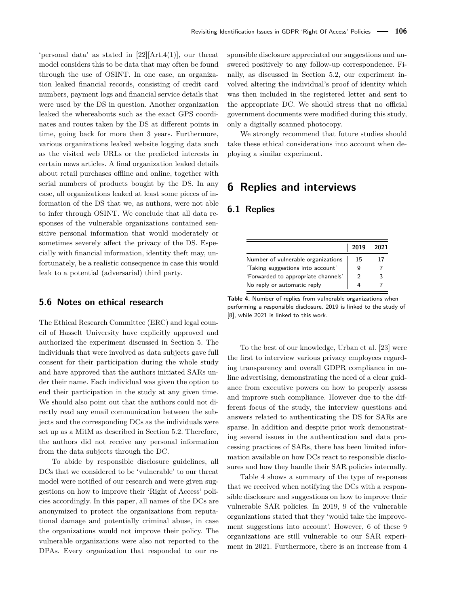'personal data' as stated in [\[22\]](#page-16-1)[Art.4(1)], our threat model considers this to be data that may often be found through the use of [OSINT.](#page-0-0) In one case, an organization leaked financial records, consisting of credit card numbers, payment logs and financial service details that were used by the [DS](#page-0-0) in question. Another organization leaked the whereabouts such as the exact GPS coordinates and routes taken by the [DS](#page-0-0) at different points in time, going back for more then 3 years. Furthermore, various organizations leaked website logging data such as the visited web URLs or the predicted interests in certain news articles. A final organization leaked details about retail purchases offline and online, together with serial numbers of products bought by the [DS.](#page-0-0) In any case, all organizations leaked at least some pieces of information of the [DS](#page-0-0) that we, as authors, were not able to infer through [OSINT.](#page-0-0) We conclude that all data responses of the vulnerable organizations contained sensitive personal information that would moderately or sometimes severely affect the privacy of the [DS.](#page-0-0) Especially with financial information, identity theft may, unfortunately, be a realistic consequence in case this would leak to a potential (adversarial) third party.

## <span id="page-11-1"></span>**5.6 Notes on ethical research**

The [Ethical Research Committee \(ERC\)](#page-0-0) and legal council of Hasselt University have explicitly approved and authorized the experiment discussed in Section [5.](#page-6-0) The individuals that were involved as data subjects gave full consent for their participation during the whole study and have approved that the authors initiated [SARs](#page-0-0) under their name. Each individual was given the option to end their participation in the study at any given time. We should also point out that the authors could not directly read any email communication between the subjects and the corresponding [DCs](#page-0-0) as the individuals were set up as a [MitM](#page-0-0) as described in Section [5.2.](#page-6-1) Therefore, the authors did not receive any personal information from the data subjects through the [DC.](#page-0-0)

To abide by responsible disclosure guidelines, all [DCs](#page-0-0) that we considered to be 'vulnerable' to our threat model were notified of our research and were given suggestions on how to improve their 'Right of Access' policies accordingly. In this paper, all names of the [DCs](#page-0-0) are anonymized to protect the organizations from reputational damage and potentially criminal abuse, in case the organizations would not improve their policy. The vulnerable organizations were also not reported to the [DPAs.](#page-0-0) Every organization that responded to our responsible disclosure appreciated our suggestions and answered positively to any follow-up correspondence. Finally, as discussed in Section [5.2,](#page-6-1) our experiment involved altering the individual's proof of identity which was then included in the registered letter and sent to the appropriate [DC.](#page-0-0) We should stress that no official government documents were modified during this study, only a digitally scanned photocopy.

We strongly recommend that future studies should take these ethical considerations into account when deploying a similar experiment.

## <span id="page-11-0"></span>**6 Replies and interviews**

## **6.1 Replies**

<span id="page-11-2"></span>

|                                     | 2019 | 2021 |
|-------------------------------------|------|------|
| Number of vulnerable organizations  | 15   | 17   |
| 'Taking suggestions into account'   | 9    |      |
| 'Forwarded to appropriate channels' | 2    |      |
| No reply or automatic reply         | 4    |      |

**Table 4.** Number of replies from vulnerable organizations when performing a responsible disclosure. 2019 is linked to the study of [\[8\]](#page-16-4), while 2021 is linked to this work.

To the best of our knowledge, Urban et al. [\[23\]](#page-16-22) were the first to interview various privacy employees regarding transparency and overall [GDPR](#page-0-0) compliance in online advertising, demonstrating the need of a clear guidance from executive powers on how to properly assess and improve such compliance. However due to the different focus of the study, the interview questions and answers related to authenticating the [DS](#page-0-0) for [SARs](#page-0-0) are sparse. In addition and despite prior work demonstrating several issues in the authentication and data processing practices of [SARs,](#page-0-0) there has been limited information available on how [DCs](#page-0-0) react to responsible disclosures and how they handle their [SAR](#page-0-0) policies internally.

Table [4](#page-11-2) shows a summary of the type of responses that we received when notifying the [DCs](#page-0-0) with a responsible disclosure and suggestions on how to improve their vulnerable [SAR](#page-0-0) policies. In 2019, 9 of the vulnerable organizations stated that they 'would take the improvement suggestions into account'. However, 6 of these 9 organizations are still vulnerable to our SAR experiment in 2021. Furthermore, there is an increase from 4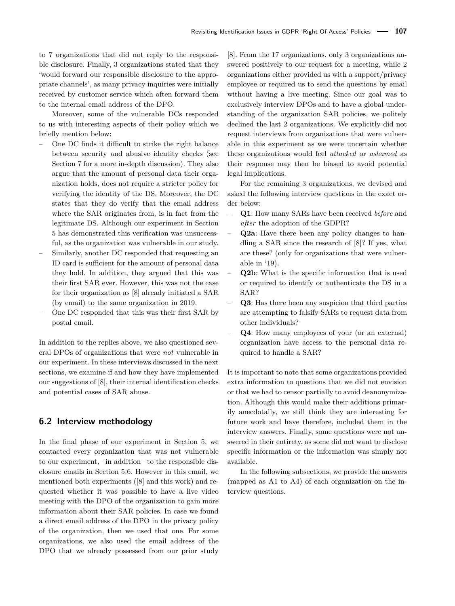to 7 organizations that did not reply to the responsible disclosure. Finally, 3 organizations stated that they 'would forward our responsible disclosure to the appropriate channels', as many privacy inquiries were initially received by customer service which often forward them to the internal email address of the [DPO.](#page-0-0)

Moreover, some of the vulnerable [DCs](#page-0-0) responded to us with interesting aspects of their policy which we briefly mention below:

- One [DC](#page-0-0) finds it difficult to strike the right balance between security and abusive identity checks (see Section [7](#page-14-0) for a more in-depth discussion). They also argue that the amount of personal data their organization holds, does not require a stricter policy for verifying the identity of the [DS.](#page-0-0) Moreover, the [DC](#page-0-0) states that they do verify that the email address where the [SAR](#page-0-0) originates from, is in fact from the legitimate [DS.](#page-0-0) Although our experiment in Section [5](#page-6-0) has demonstrated this verification was unsuccessful, as the organization was vulnerable in our study.
- Similarly, another [DC](#page-0-0) responded that requesting an ID card is sufficient for the amount of personal data they hold. In addition, they argued that this was their first [SAR](#page-0-0) ever. However, this was not the case for their organization as [\[8\]](#page-16-4) already initiated a [SAR](#page-0-0) (by email) to the same organization in 2019.
- One [DC](#page-0-0) responded that this was their first [SAR](#page-0-0) by postal email.

In addition to the replies above, we also questioned several [DPOs](#page-0-0) of organizations that were *not* vulnerable in our experiment. In these interviews discussed in the next sections, we examine if and how they have implemented our suggestions of [\[8\]](#page-16-4), their internal identification checks and potential cases of [SAR](#page-0-0) abuse.

## **6.2 Interview methodology**

In the final phase of our experiment in Section [5,](#page-6-0) we contacted every organization that was not vulnerable to our experiment, –in addition– to the responsible disclosure emails in Section [5.6.](#page-11-1) However in this email, we mentioned both experiments ([\[8\]](#page-16-4) and this work) and requested whether it was possible to have a live video meeting with the [DPO](#page-0-0) of the organization to gain more information about their [SAR](#page-0-0) policies. In case we found a direct email address of the [DPO](#page-0-0) in the privacy policy of the organization, then we used that one. For some organizations, we also used the email address of the DPO that we already possessed from our prior study

[\[8\]](#page-16-4). From the 17 organizations, only 3 organizations answered positively to our request for a meeting, while 2 organizations either provided us with a support/privacy employee or required us to send the questions by email without having a live meeting. Since our goal was to exclusively interview [DPOs](#page-0-0) and to have a global understanding of the organization [SAR](#page-0-0) policies, we politely declined the last 2 organizations. We explicitly did not request interviews from organizations that were vulnerable in this experiment as we were uncertain whether these organizations would feel *attacked* or *ashamed* as their response may then be biased to avoid potential legal implications.

For the remaining 3 organizations, we devised and asked the following interview questions in the exact order below:

- **Q1**: How many [SARs](#page-0-0) have been received *before* and *after* the adoption of the [GDPR?](#page-0-0)
- **Q2a**: Have there been any policy changes to handling a [SAR](#page-0-0) since the research of [\[8\]](#page-16-4)? If yes, what are these? (only for organizations that were vulnerable in '19).
- **Q2b**: What is the specific information that is used or required to identify or authenticate the [DS](#page-0-0) in a [SAR?](#page-0-0)
- **Q3**: Has there been any suspicion that third parties are attempting to falsify [SARs](#page-0-0) to request data from other individuals?
- **Q4**: How many employees of your (or an external) organization have access to the personal data required to handle a [SAR?](#page-0-0)

It is important to note that some organizations provided extra information to questions that we did not envision or that we had to censor partially to avoid deanonymization. Although this would make their additions primarily anecdotally, we still think they are interesting for future work and have therefore, included them in the interview answers. Finally, some questions were not answered in their entirety, as some did not want to disclose specific information or the information was simply not available.

In the following subsections, we provide the answers (mapped as A1 to A4) of each organization on the interview questions.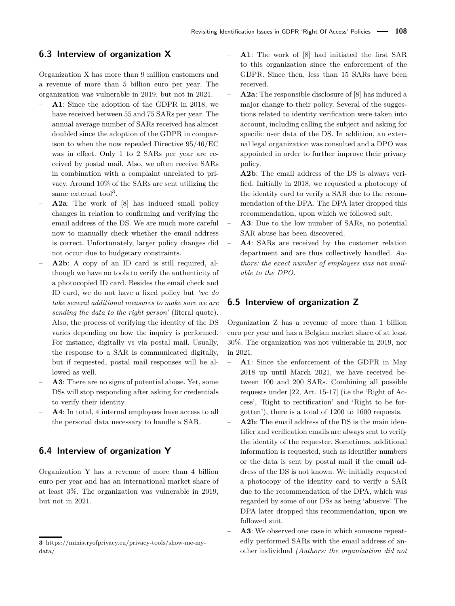## <span id="page-13-0"></span>**6.3 Interview of organization X**

Organization X has more than 9 million customers and a revenue of more than 5 billion euro per year. The organization was vulnerable in 2019, but not in 2021.

- **A1**: Since the adoption of the [GDPR](#page-0-0) in 2018, we have received between 55 and 75 [SARs](#page-0-0) per year. The annual average number of [SARs](#page-0-0) received has almost doubled since the adoption of the [GDPR](#page-0-0) in comparison to when the now repealed Directive 95/46/EC was in effect. Only 1 to 2 [SARs](#page-0-0) per year are received by postal mail. Also, we often receive [SARs](#page-0-0) in combination with a complaint unrelated to privacy. Around 10% of the [SARs](#page-0-0) are sent utilizing the same external tool<sup>[3](#page-0-0)</sup>.
- **A2a**: The work of [\[8\]](#page-16-4) has induced small policy changes in relation to confirming and verifying the email address of the [DS.](#page-0-0) We are much more careful now to manually check whether the email address is correct. Unfortunately, larger policy changes did not occur due to budgetary constraints.
- **A2b**: A copy of an ID card is still required, although we have no tools to verify the authenticity of a photocopied ID card. Besides the email check and ID card, we do not have a fixed policy but *'we do take several additional measures to make sure we are sending the data to the right person'* (literal quote). Also, the process of verifying the identity of the [DS](#page-0-0) varies depending on how the inquiry is performed. For instance, digitally vs via postal mail. Usually, the response to a [SAR](#page-0-0) is communicated digitally, but if requested, postal mail responses will be allowed as well.
- **A3**: There are no signs of potential abuse. Yet, some [DSs](#page-0-0) will stop responding after asking for credentials to verify their identity.
- **A4**: In total, 4 internal employees have access to all the personal data necessary to handle a [SAR.](#page-0-0)

## **6.4 Interview of organization Y**

Organization Y has a revenue of more than 4 billion euro per year and has an international market share of at least 3%. The organization was vulnerable in 2019, but not in 2021.

- **A1**: The work of [\[8\]](#page-16-4) had initiated the first [SAR](#page-0-0) to this organization since the enforcement of the [GDPR.](#page-0-0) Since then, less than 15 [SARs](#page-0-0) have been received.
- **A2a**: The responsible disclosure of [\[8\]](#page-16-4) has induced a major change to their policy. Several of the suggestions related to identity verification were taken into account, including calling the subject and asking for specific user data of the [DS.](#page-0-0) In addition, an external legal organization was consulted and a DPO was appointed in order to further improve their privacy policy.
- **A2b**: The email address of the [DS](#page-0-0) is always verified. Initially in 2018, we requested a photocopy of the identity card to verify a [SAR](#page-0-0) due to the recommendation of the [DPA.](#page-0-0) The [DPA](#page-0-0) later dropped this recommendation, upon which we followed suit.
- **A3**: Due to the low number of [SARs,](#page-0-0) no potential SAR abuse has been discovered.
- **A4**: [SARs](#page-0-0) are received by the customer relation department and are thus collectively handled. *Authors: the exact number of employees was not available to the [DPO.](#page-0-0)*

## <span id="page-13-1"></span>**6.5 Interview of organization Z**

Organization Z has a revenue of more than 1 billion euro per year and has a Belgian market share of at least 30%. The organization was not vulnerable in 2019, nor in 2021.

- **A1**: Since the enforcement of the [GDPR](#page-0-0) in May 2018 up until March 2021, we have received between 100 and 200 [SARs.](#page-0-0) Combining all possible requests under [\[22,](#page-16-1) Art. 15-17] (i.e the 'Right of Access', 'Right to rectification' and 'Right to be forgotten'), there is a total of 1200 to 1600 requests.
- **A2b**: The email address of the [DS](#page-0-0) is the main identifier and verification emails are always sent to verify the identity of the requester. Sometimes, additional information is requested, such as identifier numbers or the data is sent by postal mail if the email address of the [DS](#page-0-0) is not known. We initially requested a photocopy of the identity card to verify a [SAR](#page-0-0) due to the recommendation of the [DPA,](#page-0-0) which was regarded by some of our [DSs](#page-0-0) as being 'abusive'. The [DPA](#page-0-0) later dropped this recommendation, upon we followed suit.
- **A3**: We observed one case in which someone repeatedly performed [SARs](#page-0-0) with the email address of another individual *(Authors: the organization did not*

**<sup>3</sup>** https://ministryofprivacy.eu/privacy-tools/show-me-mydata/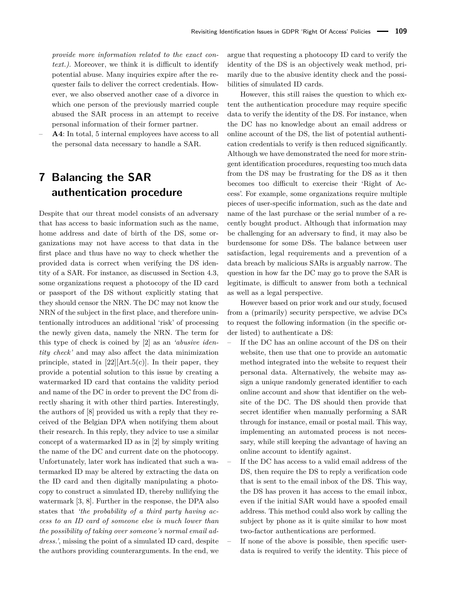*provide more information related to the exact context.)*. Moreover, we think it is difficult to identify potential abuse. Many inquiries expire after the requester fails to deliver the correct credentials. However, we also observed another case of a divorce in which one person of the previously married couple abused the [SAR](#page-0-0) process in an attempt to receive personal information of their former partner.

– **A4**: In total, 5 internal employees have access to all the personal data necessary to handle a [SAR.](#page-0-0)

# <span id="page-14-0"></span>**7 Balancing the SAR authentication procedure**

Despite that our threat model consists of an adversary that has access to basic information such as the name, home address and date of birth of the [DS,](#page-0-0) some organizations may not have access to that data in the first place and thus have no way to check whether the provided data is correct when verifying the [DS](#page-0-0) identity of a [SAR.](#page-0-0) For instance, as discussed in Section [4.3,](#page-4-0) some organizations request a photocopy of the ID card or passport of the [DS](#page-0-0) without explicitly stating that they should censor the [NRN.](#page-0-0) The [DC](#page-0-0) may not know the [NRN](#page-0-0) of the subject in the first place, and therefore unintentionally introduces an additional 'risk' of processing the newly given data, namely the [NRN.](#page-0-0) The term for this type of check is coined by [\[2\]](#page-16-10) as an *'abusive identity check'* and may also affect the data minimization principle, stated in  $[22]$ [Art.5(c)]. In their paper, they provide a potential solution to this issue by creating a watermarked ID card that contains the validity period and name of the [DC](#page-0-0) in order to prevent the [DC](#page-0-0) from directly sharing it with other third parties. Interestingly, the authors of [\[8\]](#page-16-4) provided us with a reply that they received of the Belgian [DPA](#page-0-0) when notifying them about their research. In this reply, they advice to use a similar concept of a watermarked ID as in [\[2\]](#page-16-10) by simply writing the name of the [DC](#page-0-0) and current date on the photocopy. Unfortunately, later work has indicated that such a watermarked ID may be altered by extracting the data on the ID card and then digitally manipulating a photocopy to construct a simulated ID, thereby nullifying the watermark [\[3,](#page-16-3) [8\]](#page-16-4). Further in the response, the [DPA](#page-0-0) also states that *'the probability of a third party having access to an ID card of someone else is much lower than the possibility of taking over someone's normal email address.'*, missing the point of a simulated ID card, despite the authors providing counterarguments. In the end, we

argue that requesting a photocopy ID card to verify the identity of the [DS](#page-0-0) is an objectively weak method, primarily due to the abusive identity check and the possibilities of simulated ID cards.

However, this still raises the question to which extent the authentication procedure may require specific data to verify the identity of the [DS.](#page-0-0) For instance, when the [DC](#page-0-0) has no knowledge about an email address or online account of the [DS,](#page-0-0) the list of potential authentication credentials to verify is then reduced significantly. Although we have demonstrated the need for more stringent identification procedures, requesting too much data from the [DS](#page-0-0) may be frustrating for the [DS](#page-0-0) as it then becomes too difficult to exercise their 'Right of Access'. For example, some organizations require multiple pieces of user-specific information, such as the date and name of the last purchase or the serial number of a recently bought product. Although that information may be challenging for an adversary to find, it may also be burdensome for some [DSs.](#page-0-0) The balance between user satisfaction, legal requirements and a prevention of a data breach by malicious [SARs](#page-0-0) is arguably narrow. The question in how far the [DC](#page-0-0) may go to prove the [SAR](#page-0-0) is legitimate, is difficult to answer from both a technical as well as a legal perspective.

However based on prior work and our study, focused from a (primarily) security perspective, we advise [DCs](#page-0-0) to request the following information (in the specific order listed) to authenticate a [DS:](#page-0-0)

- If the [DC](#page-0-0) has an online account of the [DS](#page-0-0) on their website, then use that one to provide an automatic method integrated into the website to request their personal data. Alternatively, the website may assign a unique randomly generated identifier to each online account and show that identifier on the website of the [DC.](#page-0-0) The [DS](#page-0-0) should then provide that secret identifier when manually performing a [SAR](#page-0-0) through for instance, email or postal mail. This way, implementing an automated process is not necessary, while still keeping the advantage of having an online account to identify against.
- If the [DC](#page-0-0) has access to a valid email address of the [DS,](#page-0-0) then require the [DS](#page-0-0) to reply a verification code that is sent to the email inbox of the [DS.](#page-0-0) This way, the [DS](#page-0-0) has proven it has access to the email inbox, even if the initial [SAR](#page-0-0) would have a spoofed email address. This method could also work by calling the subject by phone as it is quite similar to how most two-factor authentications are performed.
- If none of the above is possible, then specific userdata is required to verify the identity. This piece of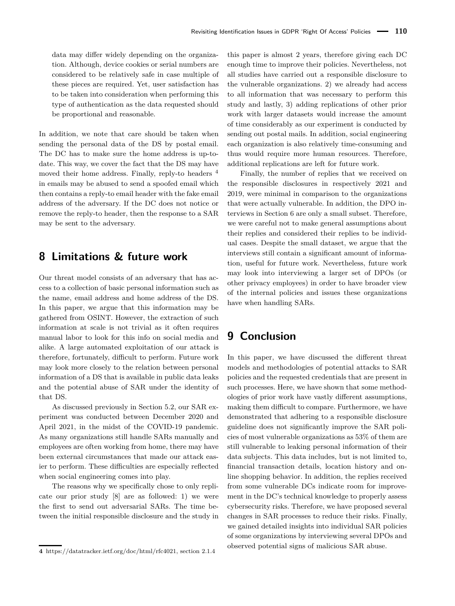data may differ widely depending on the organization. Although, device cookies or serial numbers are considered to be relatively safe in case multiple of these pieces are required. Yet, user satisfaction has to be taken into consideration when performing this type of authentication as the data requested should be proportional and reasonable.

In addition, we note that care should be taken when sending the personal data of the [DS](#page-0-0) by postal email. The [DC](#page-0-0) has to make sure the home address is up-todate. This way, we cover the fact that the [DS](#page-0-0) may have moved their home address. Finally, reply-to headers  $4$ in emails may be abused to send a spoofed email which then contains a reply-to email header with the fake email address of the adversary. If the [DC](#page-0-0) does not notice or remove the reply-to header, then the response to a [SAR](#page-0-0) may be sent to the adversary.

## **8 Limitations & future work**

Our threat model consists of an adversary that has access to a collection of basic personal information such as the name, email address and home address of the [DS.](#page-0-0) In this paper, we argue that this information may be gathered from [OSINT.](#page-0-0) However, the extraction of such information at scale is not trivial as it often requires manual labor to look for this info on social media and alike. A large automated exploitation of our attack is therefore, fortunately, difficult to perform. Future work may look more closely to the relation between personal information of a [DS](#page-0-0) that is available in public data leaks and the potential abuse of [SAR](#page-0-0) under the identity of that [DS.](#page-0-0)

As discussed previously in Section [5.2,](#page-6-1) our SAR experiment was conducted between December 2020 and April 2021, in the midst of the COVID-19 pandemic. As many organizations still handle [SARs](#page-0-0) manually and employees are often working from home, there may have been external circumstances that made our attack easier to perform. These difficulties are especially reflected when social engineering comes into play.

The reasons why we specifically chose to only replicate our prior study [\[8\]](#page-16-4) are as followed: 1) we were the first to send out adversarial [SARs.](#page-0-0) The time between the initial responsible disclosure and the study in

this paper is almost 2 years, therefore giving each [DC](#page-0-0) enough time to improve their policies. Nevertheless, not all studies have carried out a responsible disclosure to the vulnerable organizations. 2) we already had access to all information that was necessary to perform this study and lastly, 3) adding replications of other prior work with larger datasets would increase the amount of time considerably as our experiment is conducted by sending out postal mails. In addition, social engineering each organization is also relatively time-consuming and thus would require more human resources. Therefore, additional replications are left for future work.

Finally, the number of replies that we received on the responsible disclosures in respectively 2021 and 2019, were minimal in comparison to the organizations that were actually vulnerable. In addition, the [DPO](#page-0-0) interviews in Section [6](#page-11-0) are only a small subset. Therefore, we were careful not to make general assumptions about their replies and considered their replies to be individual cases. Despite the small dataset, we argue that the interviews still contain a significant amount of information, useful for future work. Nevertheless, future work may look into interviewing a larger set of [DPOs](#page-0-0) (or other privacy employees) in order to have broader view of the internal policies and issues these organizations have when handling [SARs.](#page-0-0)

# **9 Conclusion**

In this paper, we have discussed the different threat models and methodologies of potential attacks to [SAR](#page-0-0) policies and the requested credentials that are present in such processes. Here, we have shown that some methodologies of prior work have vastly different assumptions, making them difficult to compare. Furthermore, we have demonstrated that adhering to a responsible disclosure guideline does not significantly improve the [SAR](#page-0-0) policies of most vulnerable organizations as 53% of them are still vulnerable to leaking personal information of their data subjects. This data includes, but is not limited to, financial transaction details, location history and online shopping behavior. In addition, the replies received from some vulnerable [DCs](#page-0-0) indicate room for improvement in the DC's technical knowledge to properly assess cybersecurity risks. Therefore, we have proposed several changes in [SAR](#page-0-0) processes to reduce their risks. Finally, we gained detailed insights into individual [SAR](#page-0-0) policies of some organizations by interviewing several [DPOs](#page-0-0) and observed potential signs of malicious [SAR](#page-0-0) abuse.

**<sup>4</sup>** https://datatracker.ietf.org/doc/html/rfc4021, section 2.1.4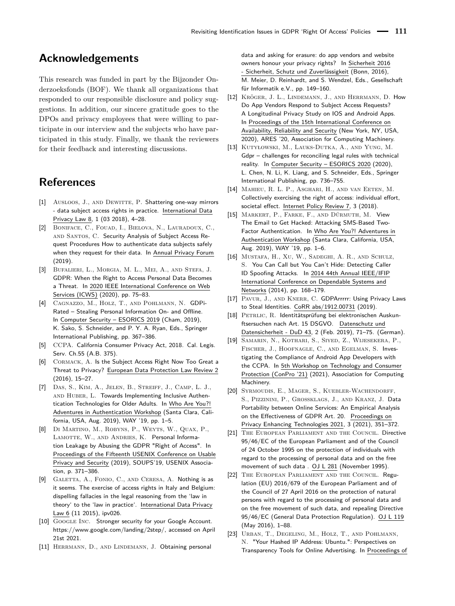# **Acknowledgements**

This research was funded in part by the Bijzonder Onderzoeksfonds (BOF). We thank all organizations that responded to our responsible disclosure and policy suggestions. In addition, our sincere gratitude goes to the [DPOs](#page-0-0) and privacy employees that were willing to participate in our interview and the subjects who have participated in this study. Finally, we thank the reviewers for their feedback and interesting discussions.

# **References**

- <span id="page-16-5"></span>[1] Ausloos, J., AND DEWITTE, P. Shattering one-way mirrors - data subject access rights in practice. International Data Privacy Law 8, 1 (03 2018), 4–28.
- <span id="page-16-10"></span>[2] Boniface, C., Fouad, I., Bielova, N., Lauradoux, C., AND SANTOS, C. Security Analysis of Subject Access Request Procedures How to authenticate data subjects safely when they request for their data. In Annual Privacy Forum (2019).
- <span id="page-16-3"></span>[3] Bufalieri, L., Morgia, M. L., Mei, A., and Stefa, J. GDPR: When the Right to Access Personal Data Becomes a Threat. In 2020 IEEE International Conference on Web Services (ICWS) (2020), pp. 75–83.
- <span id="page-16-11"></span>[4] CAGNAZZO, M., HOLZ, T., AND POHLMANN, N. GDPi-Rated – Stealing Personal Information On- and Offline. In Computer Security – ESORICS 2019 (Cham, 2019), K. Sako, S. Schneider, and P. Y. A. Ryan, Eds., Springer International Publishing, pp. 367–386.
- <span id="page-16-2"></span>[5] CCPA. California Consumer Privacy Act, 2018. Cal. Legis. Serv. Ch.55 (A.B. 375).
- <span id="page-16-9"></span>[6] CORMACK, A. Is the Subject Access Right Now Too Great a Threat to Privacy? European Data Protection Law Review 2 (2016), 15–27.
- <span id="page-16-20"></span>[7] Das, S., Kim, A., Jelen, B., Streiff, J., Camp, L. J., AND HUBER, L. Towards Implementing Inclusive Authentication Technologies for Older Adults. In Who Are You?! Adventures in Authentication Workshop (Santa Clara, California, USA, Aug. 2019), WAY '19, pp. 1–5.
- <span id="page-16-4"></span>[8] Di Martino, M., Robyns, P., Weyts, W., Quax, P., LAMOTTE, W., AND ANDRIES, K. Personal Information Leakage by Abusing the GDPR "Right of Access". In Proceedings of the Fifteenth USENIX Conference on Usable Privacy and Security (2019), SOUPS'19, USENIX Association, p. 371–386.
- <span id="page-16-6"></span>[9] GALETTA, A., FONIO, C., AND CERESA, A. Nothing is as it seems. The exercise of access rights in Italy and Belgium: dispelling fallacies in the legal reasoning from the 'law in theory' to the 'law in practice'. International Data Privacy Law 6 (11 2015), ipv026.
- <span id="page-16-18"></span>[10] GOOGLE INC. Stronger security for your Google Account. [https://www.google.com/landing/2step/,](https://www.google.com/landing/2step/) accessed on April 21st 2021.
- <span id="page-16-8"></span>[11] HERRMANN, D., AND LINDEMANN, J. Obtaining personal

data and asking for erasure: do app vendors and website owners honour your privacy rights? In Sicherheit 2016 - Sicherheit, Schutz und Zuverlässigkeit (Bonn, 2016), M. Meier, D. Reinhardt, and S. Wendzel, Eds., Gesellschaft für Informatik e.V., pp. 149–160.

- <span id="page-16-13"></span>[12] Kröger, J. L., Lindemann, J., and Herrmann, D. How Do App Vendors Respond to Subject Access Requests? A Longitudinal Privacy Study on IOS and Android Apps. In Proceedings of the 15th International Conference on Availability, Reliability and Security (New York, NY, USA, 2020), ARES '20, Association for Computing Machinery.
- <span id="page-16-15"></span>[13] Kutyłowski, M., Lauks-Dutka, A., and Yung, M. Gdpr – challenges for reconciling legal rules with technical reality. In Computer Security – ESORICS 2020 (2020), L. Chen, N. Li, K. Liang, and S. Schneider, Eds., Springer International Publishing, pp. 736–755.
- <span id="page-16-7"></span>[14] Mahieu, R. L. P., Asghari, H., and van Eeten, M. Collectively exercising the right of access: individual effort, societal effect. Internet Policy Review 7, 3 (2018).
- <span id="page-16-19"></span>[15] Markert, P., Farke, F., and Dürmuth, M. View The Email to Get Hacked: Attacking SMS-Based Two-Factor Authentication. In Who Are You?! Adventures in Authentication Workshop (Santa Clara, California, USA, Aug. 2019), WAY '19, pp. 1–6.
- <span id="page-16-21"></span>[16] Mustafa, H., Xu, W., Sadeghi, A. R., and Schulz, S. You Can Call but You Can't Hide: Detecting Caller ID Spoofing Attacks. In 2014 44th Annual IEEE/IFIP International Conference on Dependable Systems and Networks (2014), pp. 168–179.
- <span id="page-16-12"></span>[17] PAVUR, J., AND KNERR, C. GDPArrrrr: Using Privacy Laws to Steal Identities. CoRR abs/1912.00731 (2019).
- <span id="page-16-16"></span>[18] PETRLIC, R. Identitätsprüfung bei elektronischen Auskunftsersuchen nach Art. 15 DSGVO. Datenschutz und Datensicherheit - DuD 43, 2 (Feb. 2019), 71–75. (German).
- <span id="page-16-14"></span>[19] Samarin, N., Kothari, S., Siyed, Z., Wijesekera, P., Fischer, J., Hoofnagle, C., and Egelman, S. Investigating the Compliance of Android App Developers with the CCPA. In 5th Workshop on Technology and Consumer Protection (ConPro '21) (2021), Association for Computing Machinery.
- <span id="page-16-17"></span>[20] Syrmoudis, E., Mager, S., Kuebler-Wachendorff, S., Pizzinini, P., Grossklags, J., and Kranz, J. Data Portability between Online Services: An Empirical Analysis on the Effectiveness of GDPR Art. 20. Proceedings on Privacy Enhancing Technologies 2021, 3 (2021), 351–372.
- <span id="page-16-0"></span>[21] The European Parliament and the Council. Directive 95/46/EC of the European Parliament and of the Council of 24 October 1995 on the protection of individuals with regard to the processing of personal data and on the free movement of such data . OJ L 281 (November 1995).
- <span id="page-16-1"></span>[22] The European Parliament and the Council. Regulation (EU) 2016/679 of the European Parliament and of the Council of 27 April 2016 on the protection of natural persons with regard to the processing of personal data and on the free movement of such data, and repealing Directive 95/46/EC (General Data Protection Regulation). OJ L 119 (May 2016), 1–88.
- <span id="page-16-22"></span>[23] Urban, T., Degeling, M., Holz, T., and Pohlmann, N. "Your Hashed IP Address: Ubuntu.": Perspectives on Transparency Tools for Online Advertising. In Proceedings of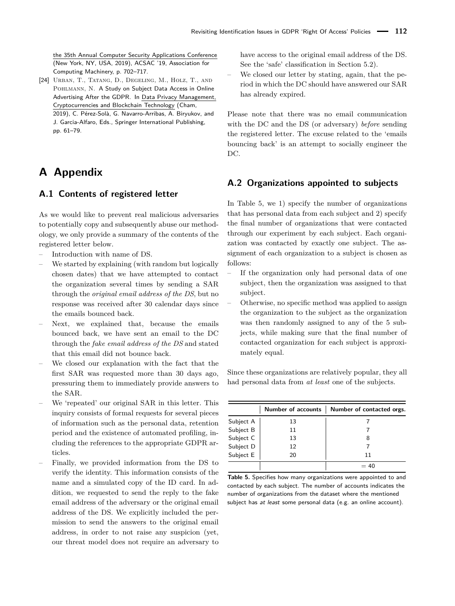the 35th Annual Computer Security Applications Conference (New York, NY, USA, 2019), ACSAC '19, Association for Computing Machinery, p. 702–717.

<span id="page-17-0"></span>[24] Urban, T., Tatang, D., Degeling, M., Holz, T., and POHLMANN, N. A Study on Subject Data Access in Online Advertising After the GDPR. In Data Privacy Management, Cryptocurrencies and Blockchain Technology (Cham, 2019), C. Pérez-Solà, G. Navarro-Arribas, A. Biryukov, and J. Garcia-Alfaro, Eds., Springer International Publishing, pp. 61–79.

# **A Appendix**

## <span id="page-17-1"></span>**A.1 Contents of registered letter**

As we would like to prevent real malicious adversaries to potentially copy and subsequently abuse our methodology, we only provide a summary of the contents of the registered letter below.

- Introduction with name of [DS.](#page-0-0)
- We started by explaining (with random but logically chosen dates) that we have attempted to contact the organization several times by sending a [SAR](#page-0-0) through the *original email address of the [DS](#page-0-0)*, but no response was received after 30 calendar days since the emails bounced back.
- Next, we explained that, because the emails bounced back, we have sent an email to the [DC](#page-0-0) through the *fake email address of the [DS](#page-0-0)* and stated that this email did not bounce back.
- We closed our explanation with the fact that the first [SAR](#page-0-0) was requested more than 30 days ago, pressuring them to immediately provide answers to the [SAR.](#page-0-0)
- We 'repeated' our original [SAR](#page-0-0) in this letter. This inquiry consists of formal requests for several pieces of information such as the personal data, retention period and the existence of automated profiling, including the references to the appropriate [GDPR](#page-0-0) articles.
- Finally, we provided information from the [DS](#page-0-0) to verify the identity. This information consists of the name and a simulated copy of the ID card. In addition, we requested to send the reply to the fake email address of the adversary or the original email address of the [DS.](#page-0-0) We explicitly included the permission to send the answers to the original email address, in order to not raise any suspicion (yet, our threat model does not require an adversary to

have access to the original email address of the [DS.](#page-0-0) See the 'safe' classification in Section [5.2\)](#page-6-1).

We closed our letter by stating, again, that the period in which the [DC](#page-0-0) should have answered our [SAR](#page-0-0) has already expired.

Please note that there was no email communication with the [DC](#page-0-0) and the [DS](#page-0-0) (or adversary) *before* sending the registered letter. The excuse related to the 'emails bouncing back' is an attempt to socially engineer the [DC.](#page-0-0)

## <span id="page-17-2"></span>**A.2 Organizations appointed to subjects**

In Table [5,](#page-17-3) we 1) specify the number of organizations that has personal data from each subject and 2) specify the final number of organizations that were contacted through our experiment by each subject. Each organization was contacted by exactly one subject. The assignment of each organization to a subject is chosen as follows:

- If the organization only had personal data of one subject, then the organization was assigned to that subject.
- Otherwise, no specific method was applied to assign the organization to the subject as the organization was then randomly assigned to any of the 5 subjects, while making sure that the final number of contacted organization for each subject is approximately equal.

Since these organizations are relatively popular, they all had personal data from *at least* one of the subjects.

<span id="page-17-3"></span>

|           | <b>Number of accounts</b> | Number of contacted orgs. |
|-----------|---------------------------|---------------------------|
| Subject A | 13                        |                           |
| Subject B | 11                        |                           |
| Subject C | 13                        |                           |
| Subject D | 12                        |                           |
| Subject E | 20                        | 11                        |
|           |                           | -40                       |

**Table 5.** Specifies how many organizations were appointed to and contacted by each subject. The number of accounts indicates the number of organizations from the dataset where the mentioned subject has at least some personal data (e.g. an online account).